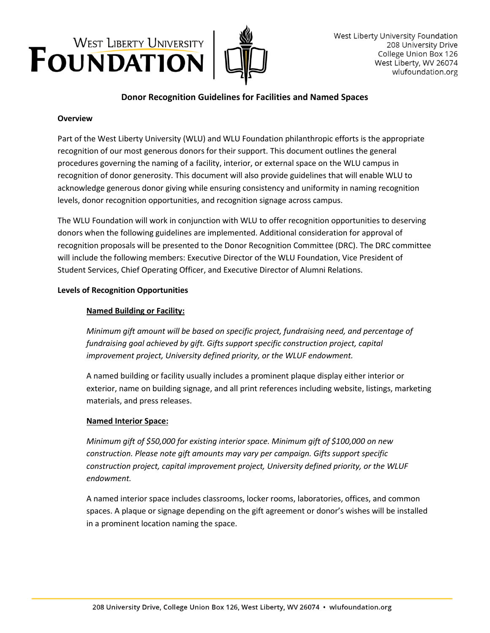



# **Donor Recognition Guidelines for Facilities and Named Spaces**

### **Overview**

Part of the West Liberty University (WLU) and WLU Foundation philanthropic efforts is the appropriate recognition of our most generous donors for their support. This document outlines the general procedures governing the naming of a facility, interior, or external space on the WLU campus in recognition of donor generosity. This document will also provide guidelines that will enable WLU to acknowledge generous donor giving while ensuring consistency and uniformity in naming recognition levels, donor recognition opportunities, and recognition signage across campus.

The WLU Foundation will work in conjunction with WLU to offer recognition opportunities to deserving donors when the following guidelines are implemented. Additional consideration for approval of recognition proposals will be presented to the Donor Recognition Committee (DRC). The DRC committee will include the following members: Executive Director of the WLU Foundation, Vice President of Student Services, Chief Operating Officer, and Executive Director of Alumni Relations.

### **Levels of Recognition Opportunities**

### **Named Building or Facility:**

*Minimum gift amount will be based on specific project, fundraising need, and percentage of fundraising goal achieved by gift. Gifts support specific construction project, capital improvement project, University defined priority, or the WLUF endowment.*

A named building or facility usually includes a prominent plaque display either interior or exterior, name on building signage, and all print references including website, listings, marketing materials, and press releases.

### **Named Interior Space:**

*Minimum gift of \$50,000 for existing interior space. Minimum gift of \$100,000 on new construction. Please note gift amounts may vary per campaign. Gifts support specific construction project, capital improvement project, University defined priority, or the WLUF endowment.*

A named interior space includes classrooms, locker rooms, laboratories, offices, and common spaces. A plaque or signage depending on the gift agreement or donor's wishes will be installed in a prominent location naming the space.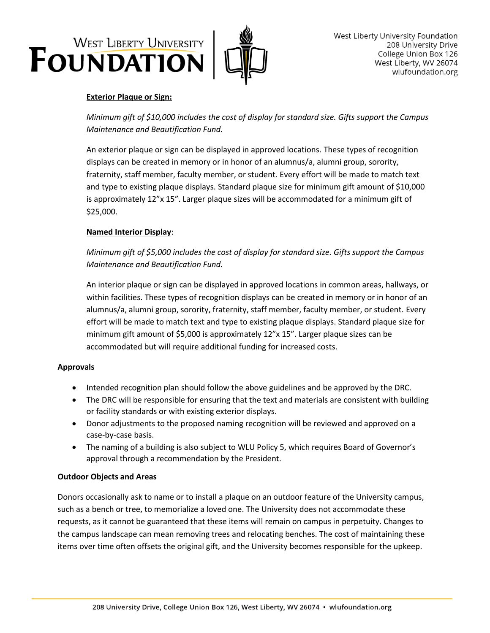# WEST LIBERTY UNIVERSITY



# **Exterior Plaque or Sign:**

*Minimum gift of \$10,000 includes the cost of display for standard size. Gifts support the Campus Maintenance and Beautification Fund.*

An exterior plaque or sign can be displayed in approved locations. These types of recognition displays can be created in memory or in honor of an alumnus/a, alumni group, sorority, fraternity, staff member, faculty member, or student. Every effort will be made to match text and type to existing plaque displays. Standard plaque size for minimum gift amount of \$10,000 is approximately 12"x 15". Larger plaque sizes will be accommodated for a minimum gift of \$25,000.

## **Named Interior Display**:

*Minimum gift of \$5,000 includes the cost of display for standard size. Gifts support the Campus Maintenance and Beautification Fund.*

An interior plaque or sign can be displayed in approved locations in common areas, hallways, or within facilities. These types of recognition displays can be created in memory or in honor of an alumnus/a, alumni group, sorority, fraternity, staff member, faculty member, or student. Every effort will be made to match text and type to existing plaque displays. Standard plaque size for minimum gift amount of \$5,000 is approximately  $12''x 15''$ . Larger plaque sizes can be accommodated but will require additional funding for increased costs.

## **Approvals**

- Intended recognition plan should follow the above guidelines and be approved by the DRC.
- The DRC will be responsible for ensuring that the text and materials are consistent with building or facility standards or with existing exterior displays.
- Donor adjustments to the proposed naming recognition will be reviewed and approved on a case-by-case basis.
- The naming of a building is also subject to WLU Policy 5, which requires Board of Governor's approval through a recommendation by the President.

# **Outdoor Objects and Areas**

Donors occasionally ask to name or to install a plaque on an outdoor feature of the University campus, such as a bench or tree, to memorialize a loved one. The University does not accommodate these requests, as it cannot be guaranteed that these items will remain on campus in perpetuity. Changes to the campus landscape can mean removing trees and relocating benches. The cost of maintaining these items over time often offsets the original gift, and the University becomes responsible for the upkeep.